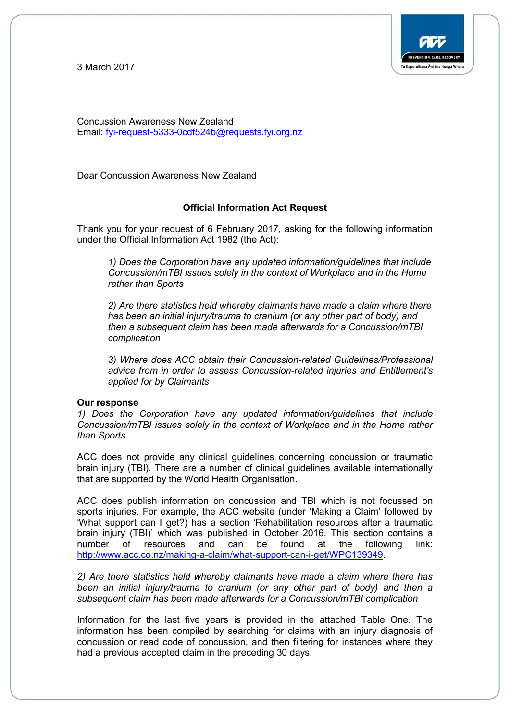3 March 2017



Concussion Awareness New Zealand Email: [fyi-request-5333-0cdf524b@requests.fyi.org.nz](mailto:xxxxxxxxxxxxxxxxxxxxxxxxx@xxxxxxxx.xxx.xxx.xx)

Dear Concussion Awareness New Zealand

### **Official Information Act Request**

Thank you for your request of 6 February 2017, asking for the following information under the Official Information Act 1982 (the Act):

*1) Does the Corporation have any updated information/guidelines that include Concussion/mTBI issues solely in the context of Workplace and in the Home rather than Sports*

*2) Are there statistics held whereby claimants have made a claim where there has been an initial injury/trauma to cranium (or any other part of body) and then a subsequent claim has been made afterwards for a Concussion/mTBI complication*

*3) Where does ACC obtain their Concussion-related Guidelines/Professional advice from in order to assess Concussion-related injuries and Entitlement's applied for by Claimants*

#### **Our response**

*1) Does the Corporation have any updated information/guidelines that include Concussion/mTBI issues solely in the context of Workplace and in the Home rather than Sports*

ACC does not provide any clinical guidelines concerning concussion or traumatic brain injury (TBI). There are a number of clinical guidelines available internationally that are supported by the World Health Organisation.

ACC does publish information on concussion and TBI which is not focussed on sports injuries. For example, the ACC website (under 'Making a Claim' followed by 'What support can I get?) has a section 'Rehabilitation resources after a traumatic brain injury (TBI)' which was published in October 2016. This section contains a number of resources and can be found at the following link: [http://www.acc.co.nz/making-a-claim/what-support-can-i-get/WPC139349.](http://www.acc.co.nz/making-a-claim/what-support-can-i-get/WPC139349)

*2) Are there statistics held whereby claimants have made a claim where there has been an initial injury/trauma to cranium (or any other part of body) and then a subsequent claim has been made afterwards for a Concussion/mTBI complication*

Information for the last five years is provided in the attached Table One. The information has been compiled by searching for claims with an injury diagnosis of concussion or read code of concussion, and then filtering for instances where they had a previous accepted claim in the preceding 30 days.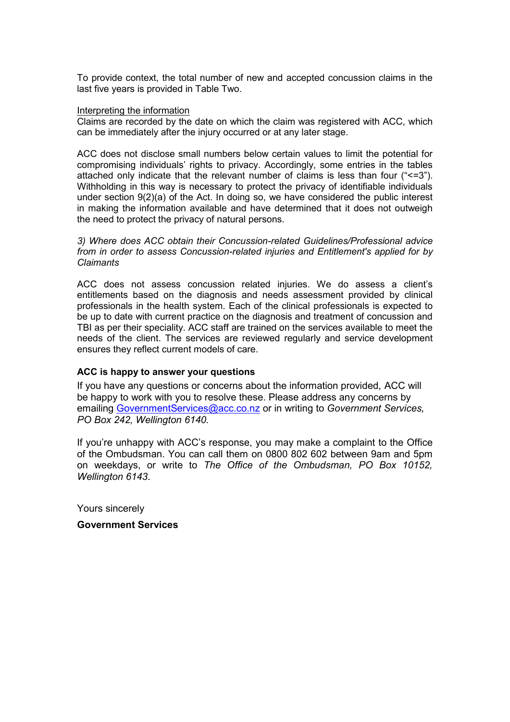To provide context, the total number of new and accepted concussion claims in the last five years is provided in Table Two.

#### Interpreting the information

Claims are recorded by the date on which the claim was registered with ACC, which can be immediately after the injury occurred or at any later stage.

ACC does not disclose small numbers below certain values to limit the potential for compromising individuals' rights to privacy. Accordingly, some entries in the tables attached only indicate that the relevant number of claims is less than four ("<=3"). Withholding in this way is necessary to protect the privacy of identifiable individuals under section 9(2)(a) of the Act. In doing so, we have considered the public interest in making the information available and have determined that it does not outweigh the need to protect the privacy of natural persons.

*3) Where does ACC obtain their Concussion-related Guidelines/Professional advice from in order to assess Concussion-related injuries and Entitlement's applied for by Claimants*

ACC does not assess concussion related injuries. We do assess a client's entitlements based on the diagnosis and needs assessment provided by clinical professionals in the health system. Each of the clinical professionals is expected to be up to date with current practice on the diagnosis and treatment of concussion and TBI as per their speciality. ACC staff are trained on the services available to meet the needs of the client. The services are reviewed regularly and service development ensures they reflect current models of care.

## **ACC is happy to answer your questions**

If you have any questions or concerns about the information provided, ACC will be happy to work with you to resolve these. Please address any concerns by emailing [GovernmentServices@acc.co.nz](mailto:xxxxxxxxxxxxxxxxxx@xxx.xx.xx) or in writing to *Government Services, PO Box 242, Wellington 6140.* 

If you're unhappy with ACC's response, you may make a complaint to the Office of the Ombudsman. You can call them on 0800 802 602 between 9am and 5pm on weekdays, or write to *The Office of the Ombudsman, PO Box 10152, Wellington 6143*.

Yours sincerely

**Government Services**